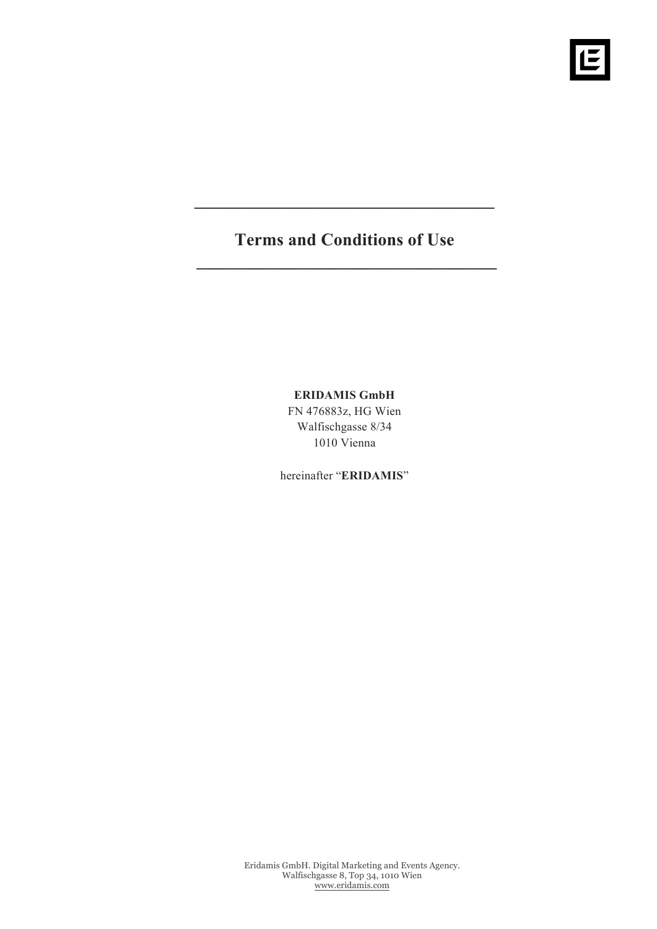# **Terms and Conditions of Use \_\_\_\_\_\_\_\_\_\_\_\_\_\_\_\_\_\_\_\_\_\_\_\_\_\_\_\_\_\_\_\_\_\_**

**\_\_\_\_\_\_\_\_\_\_\_\_\_\_\_\_\_\_\_\_\_\_\_\_\_\_\_\_\_\_\_\_\_\_** 

# **ERIDAMIS GmbH**

FN 476883z, HG Wien Walfischgasse 8/34 1010 Vienna

hereinafter "**ERIDAMIS**"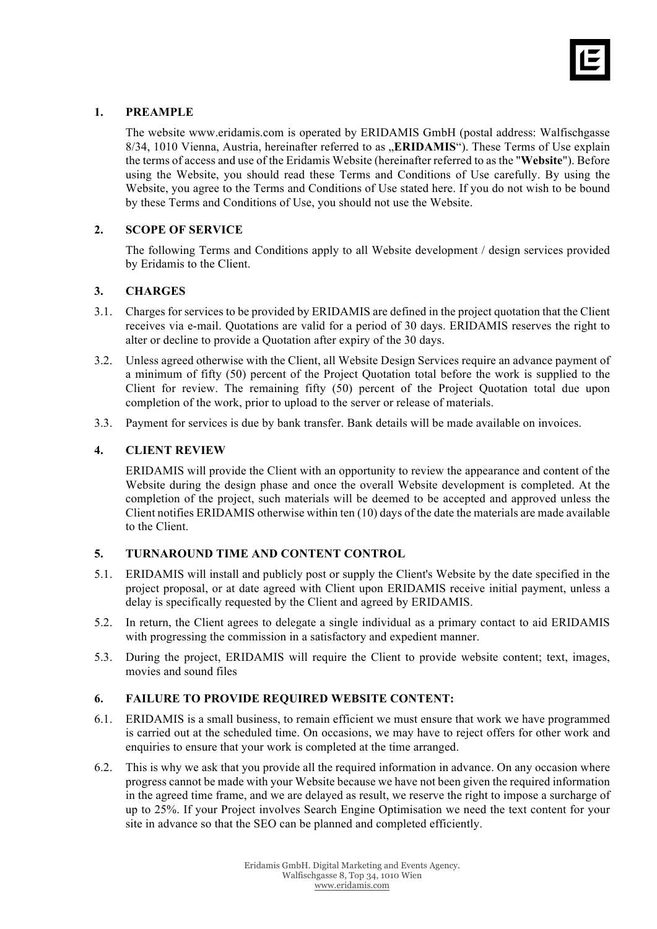

# **1. PREAMPLE**

The website www.eridamis.com is operated by ERIDAMIS GmbH (postal address: Walfischgasse 8/34, 1010 Vienna, Austria, hereinafter referred to as "**ERIDAMIS**"). These Terms of Use explain the terms of access and use of the Eridamis Website (hereinafter referred to as the "**Website**"). Before using the Website, you should read these Terms and Conditions of Use carefully. By using the Website, you agree to the Terms and Conditions of Use stated here. If you do not wish to be bound by these Terms and Conditions of Use, you should not use the Website.

## **2. SCOPE OF SERVICE**

The following Terms and Conditions apply to all Website development / design services provided by Eridamis to the Client.

#### **3. CHARGES**

- 3.1. Charges for services to be provided by ERIDAMIS are defined in the project quotation that the Client receives via e-mail. Quotations are valid for a period of 30 days. ERIDAMIS reserves the right to alter or decline to provide a Quotation after expiry of the 30 days.
- 3.2. Unless agreed otherwise with the Client, all Website Design Services require an advance payment of a minimum of fifty (50) percent of the Project Quotation total before the work is supplied to the Client for review. The remaining fifty (50) percent of the Project Quotation total due upon completion of the work, prior to upload to the server or release of materials.
- 3.3. Payment for services is due by bank transfer. Bank details will be made available on invoices.

#### **4. CLIENT REVIEW**

ERIDAMIS will provide the Client with an opportunity to review the appearance and content of the Website during the design phase and once the overall Website development is completed. At the completion of the project, such materials will be deemed to be accepted and approved unless the Client notifies ERIDAMIS otherwise within ten (10) days of the date the materials are made available to the Client.

#### **5. TURNAROUND TIME AND CONTENT CONTROL**

- 5.1. ERIDAMIS will install and publicly post or supply the Client's Website by the date specified in the project proposal, or at date agreed with Client upon ERIDAMIS receive initial payment, unless a delay is specifically requested by the Client and agreed by ERIDAMIS.
- 5.2. In return, the Client agrees to delegate a single individual as a primary contact to aid ERIDAMIS with progressing the commission in a satisfactory and expedient manner.
- 5.3. During the project, ERIDAMIS will require the Client to provide website content; text, images, movies and sound files

#### **6. FAILURE TO PROVIDE REQUIRED WEBSITE CONTENT:**

- 6.1. ERIDAMIS is a small business, to remain efficient we must ensure that work we have programmed is carried out at the scheduled time. On occasions, we may have to reject offers for other work and enquiries to ensure that your work is completed at the time arranged.
- 6.2. This is why we ask that you provide all the required information in advance. On any occasion where progress cannot be made with your Website because we have not been given the required information in the agreed time frame, and we are delayed as result, we reserve the right to impose a surcharge of up to 25%. If your Project involves Search Engine Optimisation we need the text content for your site in advance so that the SEO can be planned and completed efficiently.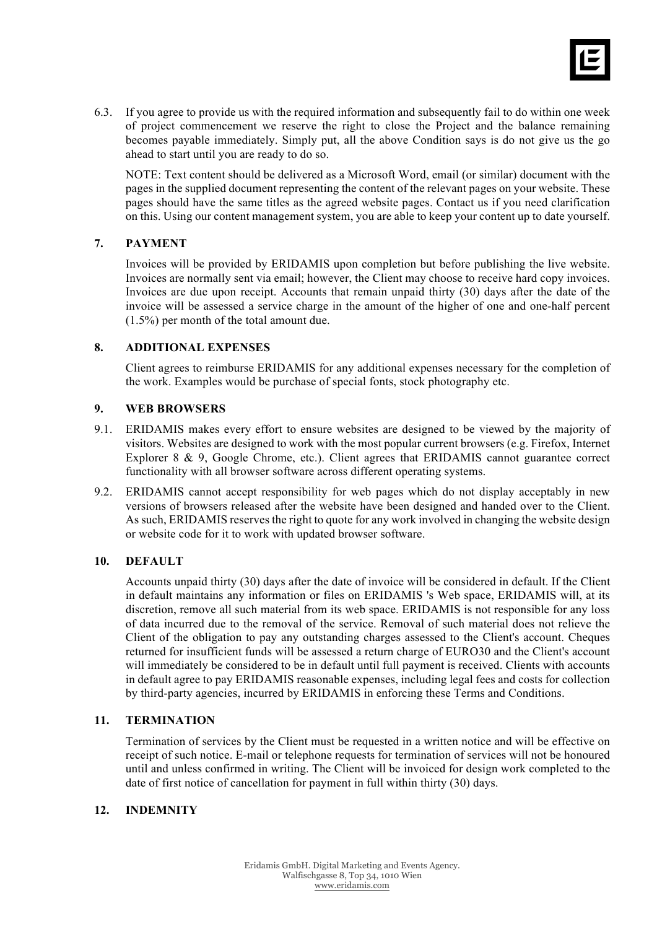

6.3. If you agree to provide us with the required information and subsequently fail to do within one week of project commencement we reserve the right to close the Project and the balance remaining becomes payable immediately. Simply put, all the above Condition says is do not give us the go ahead to start until you are ready to do so.

NOTE: Text content should be delivered as a Microsoft Word, email (or similar) document with the pages in the supplied document representing the content of the relevant pages on your website. These pages should have the same titles as the agreed website pages. Contact us if you need clarification on this. Using our content management system, you are able to keep your content up to date yourself.

# **7. PAYMENT**

Invoices will be provided by ERIDAMIS upon completion but before publishing the live website. Invoices are normally sent via email; however, the Client may choose to receive hard copy invoices. Invoices are due upon receipt. Accounts that remain unpaid thirty (30) days after the date of the invoice will be assessed a service charge in the amount of the higher of one and one-half percent (1.5%) per month of the total amount due.

## **8. ADDITIONAL EXPENSES**

Client agrees to reimburse ERIDAMIS for any additional expenses necessary for the completion of the work. Examples would be purchase of special fonts, stock photography etc.

## **9. WEB BROWSERS**

- 9.1. ERIDAMIS makes every effort to ensure websites are designed to be viewed by the majority of visitors. Websites are designed to work with the most popular current browsers (e.g. Firefox, Internet Explorer 8 & 9, Google Chrome, etc.). Client agrees that ERIDAMIS cannot guarantee correct functionality with all browser software across different operating systems.
- 9.2. ERIDAMIS cannot accept responsibility for web pages which do not display acceptably in new versions of browsers released after the website have been designed and handed over to the Client. As such, ERIDAMIS reserves the right to quote for any work involved in changing the website design or website code for it to work with updated browser software.

#### **10. DEFAULT**

Accounts unpaid thirty (30) days after the date of invoice will be considered in default. If the Client in default maintains any information or files on ERIDAMIS 's Web space, ERIDAMIS will, at its discretion, remove all such material from its web space. ERIDAMIS is not responsible for any loss of data incurred due to the removal of the service. Removal of such material does not relieve the Client of the obligation to pay any outstanding charges assessed to the Client's account. Cheques returned for insufficient funds will be assessed a return charge of EURO30 and the Client's account will immediately be considered to be in default until full payment is received. Clients with accounts in default agree to pay ERIDAMIS reasonable expenses, including legal fees and costs for collection by third-party agencies, incurred by ERIDAMIS in enforcing these Terms and Conditions.

# **11. TERMINATION**

Termination of services by the Client must be requested in a written notice and will be effective on receipt of such notice. E-mail or telephone requests for termination of services will not be honoured until and unless confirmed in writing. The Client will be invoiced for design work completed to the date of first notice of cancellation for payment in full within thirty (30) days.

#### **12. INDEMNITY**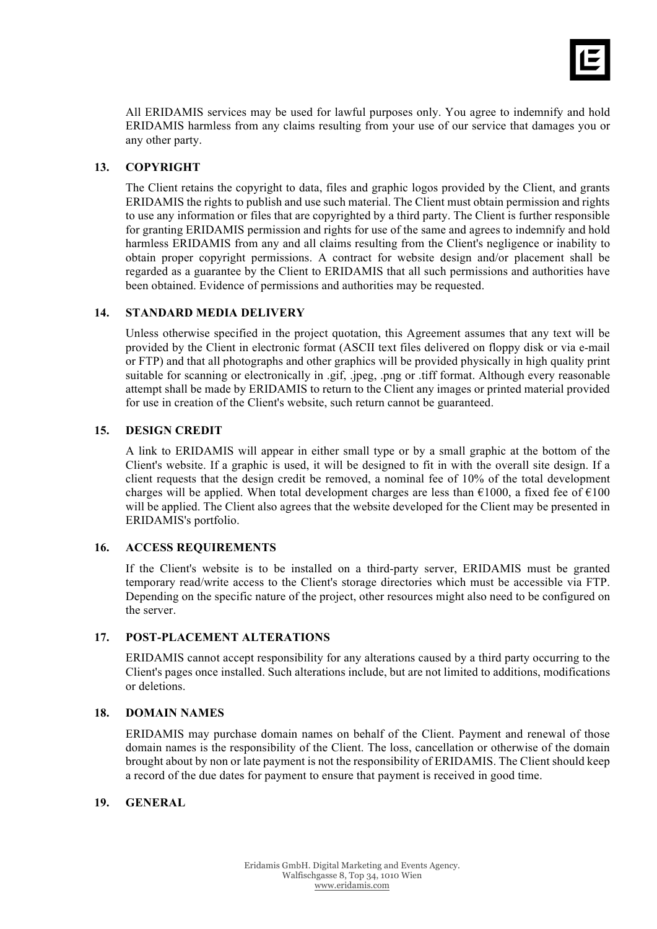

All ERIDAMIS services may be used for lawful purposes only. You agree to indemnify and hold ERIDAMIS harmless from any claims resulting from your use of our service that damages you or any other party.

## **13. COPYRIGHT**

The Client retains the copyright to data, files and graphic logos provided by the Client, and grants ERIDAMIS the rights to publish and use such material. The Client must obtain permission and rights to use any information or files that are copyrighted by a third party. The Client is further responsible for granting ERIDAMIS permission and rights for use of the same and agrees to indemnify and hold harmless ERIDAMIS from any and all claims resulting from the Client's negligence or inability to obtain proper copyright permissions. A contract for website design and/or placement shall be regarded as a guarantee by the Client to ERIDAMIS that all such permissions and authorities have been obtained. Evidence of permissions and authorities may be requested.

## **14. STANDARD MEDIA DELIVERY**

Unless otherwise specified in the project quotation, this Agreement assumes that any text will be provided by the Client in electronic format (ASCII text files delivered on floppy disk or via e-mail or FTP) and that all photographs and other graphics will be provided physically in high quality print suitable for scanning or electronically in .gif, .jpeg, .png or .tiff format. Although every reasonable attempt shall be made by ERIDAMIS to return to the Client any images or printed material provided for use in creation of the Client's website, such return cannot be guaranteed.

## **15. DESIGN CREDIT**

A link to ERIDAMIS will appear in either small type or by a small graphic at the bottom of the Client's website. If a graphic is used, it will be designed to fit in with the overall site design. If a client requests that the design credit be removed, a nominal fee of  $10\%$  of the total development charges will be applied. When total development charges are less than  $\epsilon$ 1000, a fixed fee of  $\epsilon$ 100 will be applied. The Client also agrees that the website developed for the Client may be presented in ERIDAMIS's portfolio.

#### **16. ACCESS REQUIREMENTS**

If the Client's website is to be installed on a third-party server, ERIDAMIS must be granted temporary read/write access to the Client's storage directories which must be accessible via FTP. Depending on the specific nature of the project, other resources might also need to be configured on the server.

#### **17. POST-PLACEMENT ALTERATIONS**

ERIDAMIS cannot accept responsibility for any alterations caused by a third party occurring to the Client's pages once installed. Such alterations include, but are not limited to additions, modifications or deletions.

#### **18. DOMAIN NAMES**

ERIDAMIS may purchase domain names on behalf of the Client. Payment and renewal of those domain names is the responsibility of the Client. The loss, cancellation or otherwise of the domain brought about by non or late payment is not the responsibility of ERIDAMIS. The Client should keep a record of the due dates for payment to ensure that payment is received in good time.

# **19. GENERAL**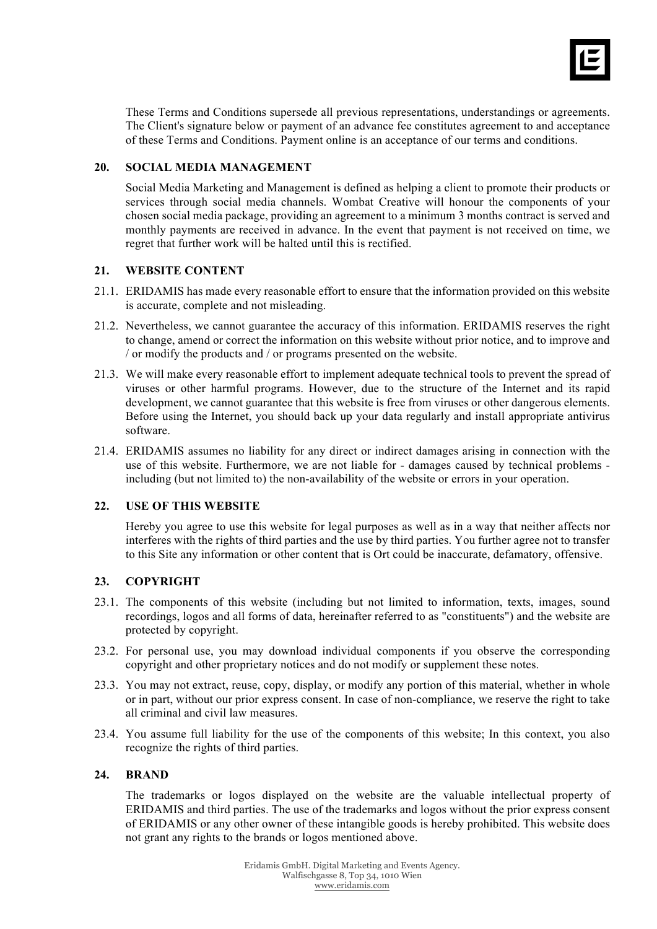

These Terms and Conditions supersede all previous representations, understandings or agreements. The Client's signature below or payment of an advance fee constitutes agreement to and acceptance of these Terms and Conditions. Payment online is an acceptance of our terms and conditions.

# **20. SOCIAL MEDIA MANAGEMENT**

Social Media Marketing and Management is defined as helping a client to promote their products or services through social media channels. Wombat Creative will honour the components of your chosen social media package, providing an agreement to a minimum 3 months contract is served and monthly payments are received in advance. In the event that payment is not received on time, we regret that further work will be halted until this is rectified.

## **21. WEBSITE CONTENT**

- 21.1. ERIDAMIS has made every reasonable effort to ensure that the information provided on this website is accurate, complete and not misleading.
- 21.2. Nevertheless, we cannot guarantee the accuracy of this information. ERIDAMIS reserves the right to change, amend or correct the information on this website without prior notice, and to improve and / or modify the products and / or programs presented on the website.
- 21.3. We will make every reasonable effort to implement adequate technical tools to prevent the spread of viruses or other harmful programs. However, due to the structure of the Internet and its rapid development, we cannot guarantee that this website is free from viruses or other dangerous elements. Before using the Internet, you should back up your data regularly and install appropriate antivirus software.
- 21.4. ERIDAMIS assumes no liability for any direct or indirect damages arising in connection with the use of this website. Furthermore, we are not liable for - damages caused by technical problems including (but not limited to) the non-availability of the website or errors in your operation.

# **22. USE OF THIS WEBSITE**

Hereby you agree to use this website for legal purposes as well as in a way that neither affects nor interferes with the rights of third parties and the use by third parties. You further agree not to transfer to this Site any information or other content that is Ort could be inaccurate, defamatory, offensive.

# **23. COPYRIGHT**

- 23.1. The components of this website (including but not limited to information, texts, images, sound recordings, logos and all forms of data, hereinafter referred to as "constituents") and the website are protected by copyright.
- 23.2. For personal use, you may download individual components if you observe the corresponding copyright and other proprietary notices and do not modify or supplement these notes.
- 23.3. You may not extract, reuse, copy, display, or modify any portion of this material, whether in whole or in part, without our prior express consent. In case of non-compliance, we reserve the right to take all criminal and civil law measures.
- 23.4. You assume full liability for the use of the components of this website; In this context, you also recognize the rights of third parties.

#### **24. BRAND**

The trademarks or logos displayed on the website are the valuable intellectual property of ERIDAMIS and third parties. The use of the trademarks and logos without the prior express consent of ERIDAMIS or any other owner of these intangible goods is hereby prohibited. This website does not grant any rights to the brands or logos mentioned above.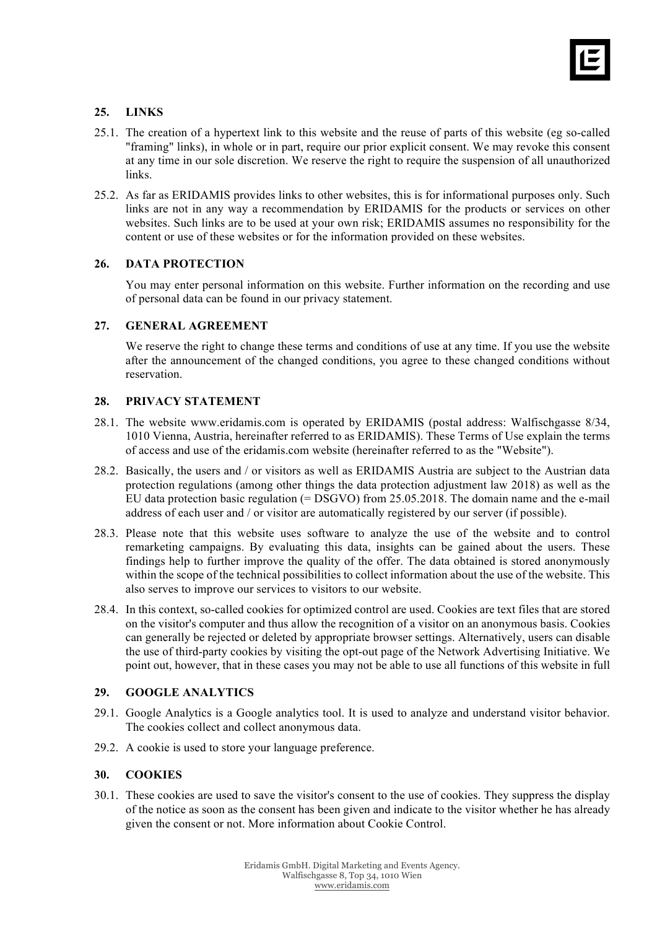

# **25. LINKS**

- 25.1. The creation of a hypertext link to this website and the reuse of parts of this website (eg so-called "framing" links), in whole or in part, require our prior explicit consent. We may revoke this consent at any time in our sole discretion. We reserve the right to require the suspension of all unauthorized links.
- 25.2. As far as ERIDAMIS provides links to other websites, this is for informational purposes only. Such links are not in any way a recommendation by ERIDAMIS for the products or services on other websites. Such links are to be used at your own risk; ERIDAMIS assumes no responsibility for the content or use of these websites or for the information provided on these websites.

## **26. DATA PROTECTION**

You may enter personal information on this website. Further information on the recording and use of personal data can be found in our privacy statement.

## **27. GENERAL AGREEMENT**

We reserve the right to change these terms and conditions of use at any time. If you use the website after the announcement of the changed conditions, you agree to these changed conditions without reservation.

## **28. PRIVACY STATEMENT**

- 28.1. The website www.eridamis.com is operated by ERIDAMIS (postal address: Walfischgasse 8/34, 1010 Vienna, Austria, hereinafter referred to as ERIDAMIS). These Terms of Use explain the terms of access and use of the eridamis.com website (hereinafter referred to as the "Website").
- 28.2. Basically, the users and / or visitors as well as ERIDAMIS Austria are subject to the Austrian data protection regulations (among other things the data protection adjustment law 2018) as well as the EU data protection basic regulation (= DSGVO) from 25.05.2018. The domain name and the e-mail address of each user and / or visitor are automatically registered by our server (if possible).
- 28.3. Please note that this website uses software to analyze the use of the website and to control remarketing campaigns. By evaluating this data, insights can be gained about the users. These findings help to further improve the quality of the offer. The data obtained is stored anonymously within the scope of the technical possibilities to collect information about the use of the website. This also serves to improve our services to visitors to our website.
- 28.4. In this context, so-called cookies for optimized control are used. Cookies are text files that are stored on the visitor's computer and thus allow the recognition of a visitor on an anonymous basis. Cookies can generally be rejected or deleted by appropriate browser settings. Alternatively, users can disable the use of third-party cookies by visiting the opt-out page of the Network Advertising Initiative. We point out, however, that in these cases you may not be able to use all functions of this website in full

# **29. GOOGLE ANALYTICS**

- 29.1. Google Analytics is a Google analytics tool. It is used to analyze and understand visitor behavior. The cookies collect and collect anonymous data.
- 29.2. A cookie is used to store your language preference.

#### **30. COOKIES**

30.1. These cookies are used to save the visitor's consent to the use of cookies. They suppress the display of the notice as soon as the consent has been given and indicate to the visitor whether he has already given the consent or not. More information about Cookie Control.